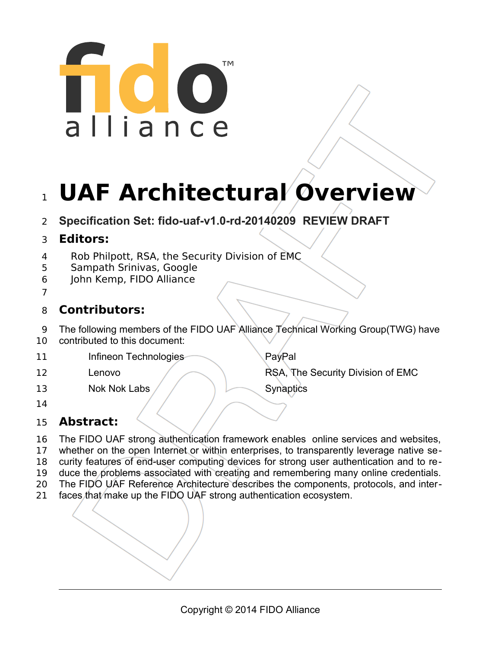# ™ alliance

# 1 UAF Architectural Overview

**Specification Set: fido-uaf-v1.0-rd-20140209 REVIEW DRAFT** 2

# **Editors:** 3

- Rob Philpott, RSA, the Security Division of EMC 4
- Sampath Srinivas, Google 5
- John Kemp, FIDO Alliance 6
- 7

# **Contributors:** 8

- The following members of the FIDO UAF Alliance Technical Working Group(TWG) have 9
- contributed to this document: 10
- Infineon Technologies PayPal 11

Lenovo **RSA, The Security Division of EMC** 

- Nok Nok Labs / / Synaptics 13
- 14

12

# **Abstract:** 15

- The FIDO UAF strong authentication framework enables online services and websites, 16
- whether on the open Internet or within enterprises, to transparently leverage native se-17
- curity features of end-user computing devices for strong user authentication and to re-18
- duce the problems associated with creating and remembering many online credentials. 19
- The FIDO UAF Reference Architecture describes the components, protocols, and inter-20
- faces that make up the FIDO UAF strong authentication ecosystem. 21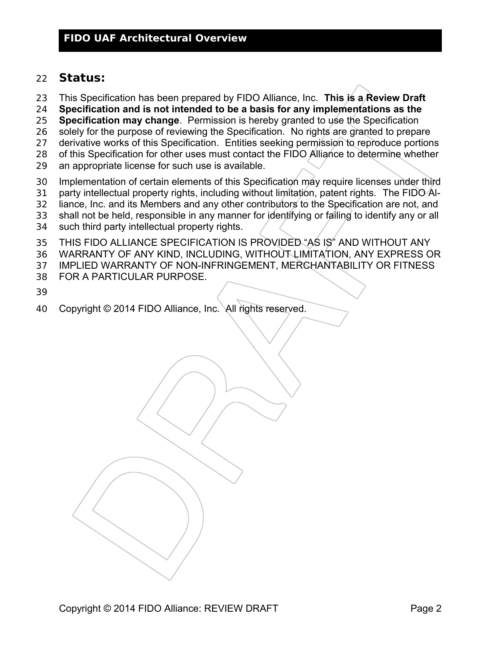### **Status:** 22

- This Specification has been prepared by FIDO Alliance, Inc. **This is a Review Draft**  23
- **Specification and is not intended to be a basis for any implementations as the**  24
- **Specification may change**. Permission is hereby granted to use the Specification 25
- solely for the purpose of reviewing the Specification. No rights are granted to prepare 26
- derivative works of this Specification. Entities seeking permission to reproduce portions 27
- of this Specification for other uses must contact the FIDO Alliance to determine whether 28
- an appropriate license for such use is available. 29
- Implementation of certain elements of this Specification may require licenses under third 30
- party intellectual property rights, including without limitation, patent rights. The FIDO Al-31
- liance, Inc. and its Members and any other contributors to the Specification are not, and 32
- shall not be held, responsible in any manner for identifying or failing to identify any or all 33
- such third party intellectual property rights. 34
- THIS FIDO ALLIANCE SPECIFICATION IS PROVIDED "AS IS" AND WITHOUT ANY 35
- WARRANTY OF ANY KIND, INCLUDING, WITHOUT LIMITATION, ANY EXPRESS OR 36
- IMPLIED WARRANTY OF NON-INFRINGEMENT, MERCHANTABILITY OR FITNESS 37
- FOR A PARTICULAR PURPOSE. 38
- 39
- Copyright © 2014 FIDO Alliance, Inc. All rights reserved. 40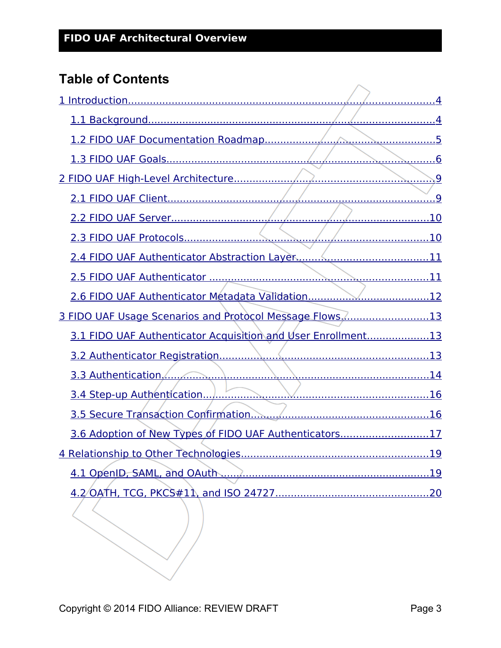# **Table of Contents**

| 3 FIDO UAF Usage Scenarios and Protocol Message Flows13      |  |
|--------------------------------------------------------------|--|
| 3.1 FIDO UAF Authenticator Acquisition and User Enrollment13 |  |
|                                                              |  |
|                                                              |  |
|                                                              |  |
|                                                              |  |
| 3.6 Adoption of New Types of FIDO UAF Authenticators17       |  |
|                                                              |  |
|                                                              |  |
|                                                              |  |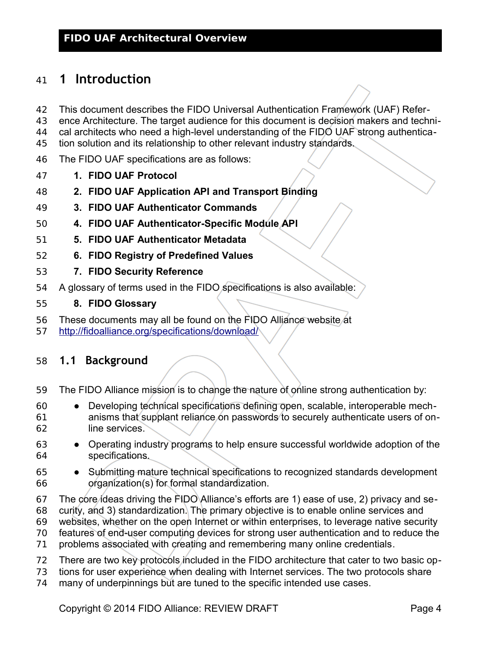# <span id="page-3-0"></span>**1 Introduction** 41

- This document describes the FIDO Universal Authentication Framework (UAF) Refer-42
- ence Architecture. The target audience for this document is decision makers and techni-43
- cal architects who need a high-level understanding of the FIDO UAF strong authentica-44
- tion solution and its relationship to other relevant industry standards. 45
- The FIDO UAF specifications are as follows: 46
- **1. FIDO UAF Protocol** 47
- **2. FIDO UAF Application API and Transport Binding** 48
- **3. FIDO UAF Authenticator Commands** 49
- **4. FIDO UAF Authenticator-Specific Module API** 50
- **5. FIDO UAF Authenticator Metadata** 51
- **6. FIDO Registry of Predefined Values** 52
- **7. FIDO Security Reference** 53
- A glossary of terms used in the FIDO specifications is also available: 54
- **8. FIDO Glossary** 55
- These documents may all be found on the FIDO Alliance website at 56
- <http://fidoalliance.org/specifications/download/> 57

### <span id="page-3-1"></span>**1.1 Background** 58

- The FIDO Alliance mission is to change the nature of online strong authentication by: 59
- Developing technical specifications defining open, scalable, interoperable mechanisms that supplant reliance on passwords to securely authenticate users of online services. 60 61 62
- Operating industry programs to help ensure successful worldwide adoption of the specifications. 63 64
- Submitting mature technical specifications to recognized standards development organization(s) for formal standardization. 65 66
- The core ideas driving the FIDO Alliance's efforts are 1) ease of use, 2) privacy and se-67
- curity, and 3) standardization. The primary objective is to enable online services and 68
- websites, whether on the open Internet or within enterprises, to leverage native security 69
- features of end-user computing devices for strong user authentication and to reduce the 70
- problems associated with creating and remembering many online credentials. 71
- There are two key protocols included in the FIDO architecture that cater to two basic op-72
- tions for user experience when dealing with Internet services. The two protocols share 73
- many of underpinnings but are tuned to the specific intended use cases. 74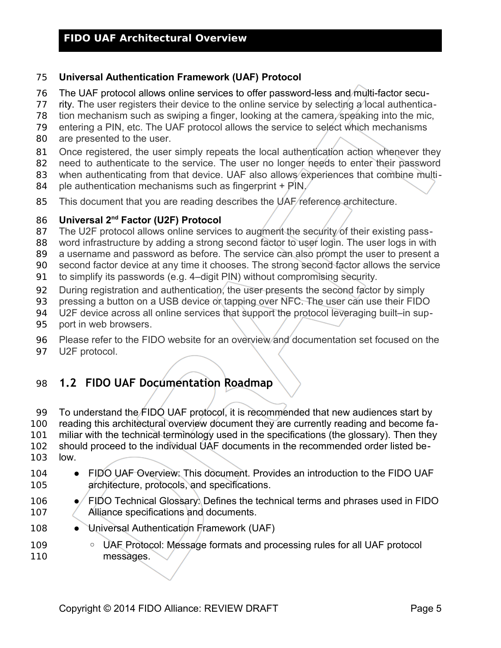### **Universal Authentication Framework (UAF) Protocol** 75

- The UAF protocol allows online services to offer password-less and multi-factor secu-76
- rity. The user registers their device to the online service by selecting a local authentica-77
- tion mechanism such as swiping a finger, looking at the camera, speaking into the mic, 78
- entering a PIN, etc. The UAF protocol allows the service to select which mechanisms 79
- are presented to the user. 80
- Once registered, the user simply repeats the local authentication action whenever they 81
- need to authenticate to the service. The user no longer needs to enter their password 82
- when authenticating from that device. UAF also allows experiences that combine multi-83
- ple authentication mechanisms such as fingerprint + PIN. 84
- This document that you are reading describes the UAF reference architecture. 85

### **Universal 2nd Factor (U2F) Protocol** 86

- The U2F protocol allows online services to augment the security of their existing pass-87
- word infrastructure by adding a strong second factor to user login. The user logs in with 88
- a username and password as before. The service can also prompt the user to present a 89
- second factor device at any time it chooses. The strong second factor allows the service 90
- to simplify its passwords (e.g. 4–digit PIN) without compromising security. 91
- During registration and authentication, the user presents the second factor by simply 92
- pressing a button on a USB device or tapping over NFC. The user can use their FIDO 93
- U2F device across all online services that support the protocol leveraging built–in sup-94
- port in web browsers. 95
- Please refer to the FIDO website for an overview and documentation set focused on the U2F protocol. 96 97

# <span id="page-4-0"></span>**1.2 FIDO UAF Documentation Roadmap** 98

- To understand the FIDO UAF protocol, it is recommended that new audiences start by reading this architectural overview document they are currently reading and become familiar with the technical terminology used in the specifications (the glossary). Then they should proceed to the individual UAF documents in the recommended order listed below. 99 100 101 102 103
- FIDO UAF Overview: This document. Provides an introduction to the FIDO UAF architecture, protocols, and specifications. 104 105
- FIDO Technical Glossary: Defines the technical terms and phrases used in FIDO Alliance specifications and documents. 106 107
- Universal Authentication Framework (UAF) 108
- UAF Protocol: Message formats and processing rules for all UAF protocol messages. 109 110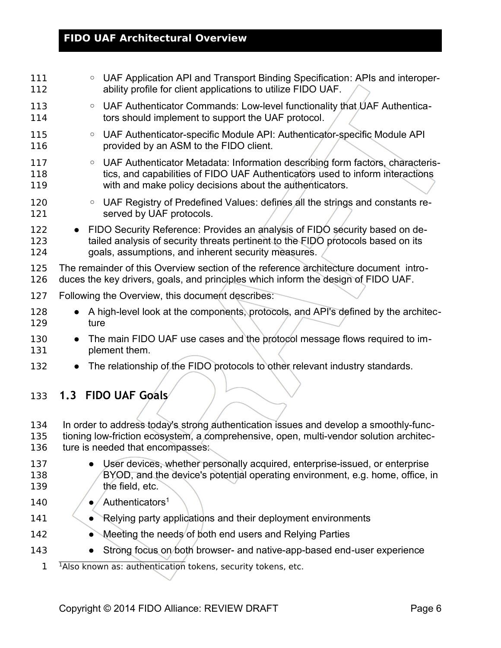<span id="page-5-1"></span><span id="page-5-0"></span>

| 111<br>112        | UAF Application API and Transport Binding Specification: APIs and interoper-<br>$\circ$<br>ability profile for client applications to utilize FIDO UAF.                                                                               |
|-------------------|---------------------------------------------------------------------------------------------------------------------------------------------------------------------------------------------------------------------------------------|
| 113<br>114        | UAF Authenticator Commands: Low-level functionality that UAF Authentica-<br>$\circ$<br>tors should implement to support the UAF protocol.                                                                                             |
| 115<br>116        | UAF Authenticator-specific Module API: Authenticator-specific Module API<br>$\circ$<br>provided by an ASM to the FIDO client.                                                                                                         |
| 117<br>118<br>119 | UAF Authenticator Metadata: Information describing form factors, characteris-<br>$\circ$<br>tics, and capabilities of FIDO UAF Authenticators used to inform interactions<br>with and make policy decisions about the authenticators. |
| 120<br>121        | UAF Registry of Predefined Values: defines all the strings and constants re-<br>$\circ$<br>served by UAF protocols.                                                                                                                   |
| 122<br>123<br>124 | FIDO Security Reference: Provides an analysis of FIDO security based on de-<br>tailed analysis of security threats pertinent to the FIDO protocols based on its<br>goals, assumptions, and inherent security measures.                |
| 125<br>126        | The remainder of this Overview section of the reference architecture document intro-<br>duces the key drivers, goals, and principles which inform the design of FIDO UAF.                                                             |
| 127               | Following the Overview, this document describes:                                                                                                                                                                                      |
| 128<br>129        | A high-level look at the components, protocols, and API's defined by the architec-<br>$\bullet$<br>ture                                                                                                                               |
| 130<br>131        | The main FIDO UAF use cases and the protocol message flows required to im-<br>plement them.                                                                                                                                           |
| 132               | The relationship of the FIDO protocols to other relevant industry standards.                                                                                                                                                          |
| 133               | 1.3 FIDO UAF Goals                                                                                                                                                                                                                    |
| 134<br>135<br>136 | In order to address today's strong authentication issues and develop a smoothly-func-<br>tioning low-friction ecosystem, a comprehensive, open, multi-vendor solution architec-<br>ture is needed that encompasses:                   |
| 137<br>138<br>139 | User devices, whether personally acquired, enterprise-issued, or enterprise<br>BYOD, and the device's potential operating environment, e.g. home, office, in<br>the field, etc.                                                       |
| 140               | Authenticators <sup>1</sup>                                                                                                                                                                                                           |
| 141               | Relying party applications and their deployment environments<br>$\bullet$                                                                                                                                                             |
| 142               | Meeting the needs of both end users and Relying Parties                                                                                                                                                                               |
| 143               | Strong focus on both browser- and native-app-based end-user experience                                                                                                                                                                |
| 1                 | <sup>1</sup> Also known as: authentication tokens, security tokens, etc.                                                                                                                                                              |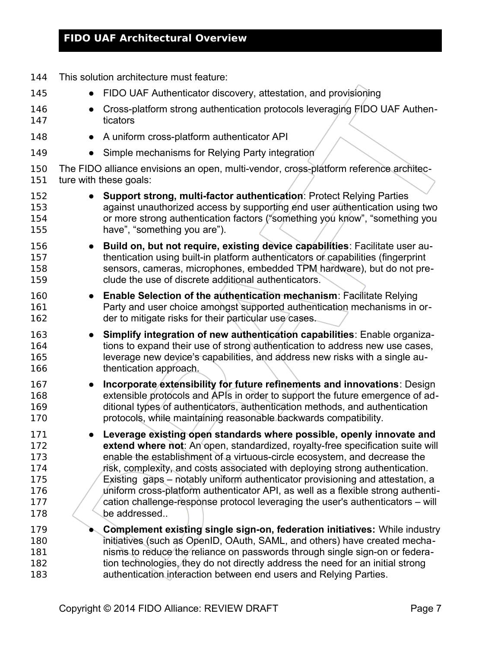| 144                      | This solution architecture must feature:                                                                                                                                                                                                                                                                                   |
|--------------------------|----------------------------------------------------------------------------------------------------------------------------------------------------------------------------------------------------------------------------------------------------------------------------------------------------------------------------|
| 145                      | FIDO UAF Authenticator discovery, attestation, and provisioning                                                                                                                                                                                                                                                            |
| 146                      | Cross-platform strong authentication protocols leveraging FIDO UAF Authen-                                                                                                                                                                                                                                                 |
| 147                      | ticators                                                                                                                                                                                                                                                                                                                   |
| 148                      | A uniform cross-platform authenticator API                                                                                                                                                                                                                                                                                 |
| 149                      | Simple mechanisms for Relying Party integration                                                                                                                                                                                                                                                                            |
| 150                      | The FIDO alliance envisions an open, multi-vendor, cross-platform reference architec-                                                                                                                                                                                                                                      |
| 151                      | ture with these goals:                                                                                                                                                                                                                                                                                                     |
| 152                      | Support strong, multi-factor authentication: Protect Relying Parties                                                                                                                                                                                                                                                       |
| 153                      | against unauthorized access by supporting end user authentication using two                                                                                                                                                                                                                                                |
| 154                      | or more strong authentication factors ("something you know", "something you                                                                                                                                                                                                                                                |
| 155                      | have", "something you are").                                                                                                                                                                                                                                                                                               |
| 156                      | Build on, but not require, existing device capabilities: Facilitate user au-                                                                                                                                                                                                                                               |
| 157                      | thentication using built-in platform authenticators or capabilities (fingerprint                                                                                                                                                                                                                                           |
| 158                      | sensors, cameras, microphones, embedded TPM hardware), but do not pre-                                                                                                                                                                                                                                                     |
| 159                      | clude the use of discrete additional authenticators.                                                                                                                                                                                                                                                                       |
| 160                      | <b>Enable Selection of the authentication mechanism: Facilitate Relying</b>                                                                                                                                                                                                                                                |
| 161                      | Party and user choice amongst supported authentication mechanisms in or-                                                                                                                                                                                                                                                   |
| 162                      | der to mitigate risks for their particular use cases.                                                                                                                                                                                                                                                                      |
| 163                      | Simplify integration of new authentication capabilities: Enable organiza-                                                                                                                                                                                                                                                  |
| 164                      | tions to expand their use of strong authentication to address new use cases,                                                                                                                                                                                                                                               |
| 165                      | leverage new device's capabilities, and address new risks with a single au-                                                                                                                                                                                                                                                |
| 166                      | thentication approach.                                                                                                                                                                                                                                                                                                     |
| 167<br>168<br>169<br>170 | Incorporate/extensibility for future refinements and innovations: Design<br>$\bullet$<br>extensible protocols and APIs in order to support the future emergence of ad-<br>ditional types of authenticators, authentication methods, and authentication<br>protocols, while maintaining reasonable backwards compatibility. |
| 171                      | Leverage existing open standards where possible, openly innovate and                                                                                                                                                                                                                                                       |
| 172                      | extend where not: An open, standardized, royalty-free specification suite will                                                                                                                                                                                                                                             |
| 173                      | enable the establishment of a virtuous-circle ecosystem, and decrease the                                                                                                                                                                                                                                                  |
| 174                      | risk, complexity, and costs associated with deploying strong authentication.                                                                                                                                                                                                                                               |
| 175                      | Existing gaps – notably uniform authenticator provisioning and attestation, a                                                                                                                                                                                                                                              |
| 176                      | uniform cross-platform authenticator API, as well as a flexible strong authenti-                                                                                                                                                                                                                                           |
| 177                      | cation challenge-response protocol leveraging the user's authenticators – will                                                                                                                                                                                                                                             |
| 178                      | be addressed                                                                                                                                                                                                                                                                                                               |
| 179                      | <b>Complement existing single sign-on, federation initiatives:</b> While industry                                                                                                                                                                                                                                          |
| 180                      | initiatives (such as OpenID, OAuth, SAML, and others) have created mecha-                                                                                                                                                                                                                                                  |
| 181                      | nisms to reduce the reliance on passwords through single sign-on or federa-                                                                                                                                                                                                                                                |
| 182                      | tion technologies, they do not directly address the need for an initial strong                                                                                                                                                                                                                                             |
| 183                      | authentication interaction between end users and Relying Parties.                                                                                                                                                                                                                                                          |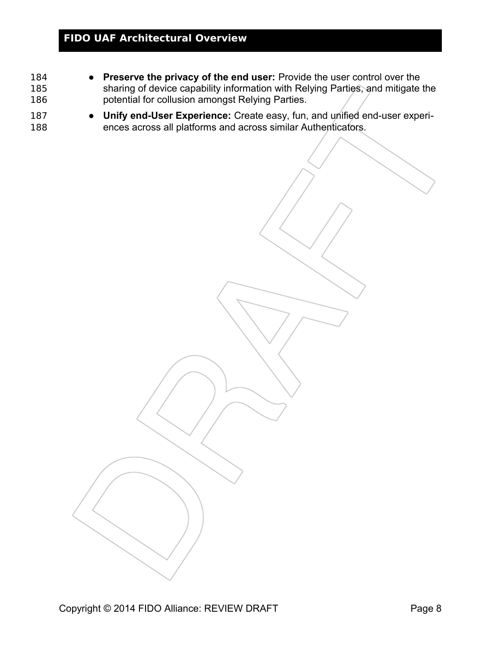- **Preserve the privacy of the end user:** Provide the user control over the sharing of device capability information with Relying Parties, and mitigate the potential for collusion amongst Relying Parties. 184 185 186
- **Unify end-User Experience:** Create easy, fun, and unified end-user experiences across all platforms and across similar Authenticators. 187 188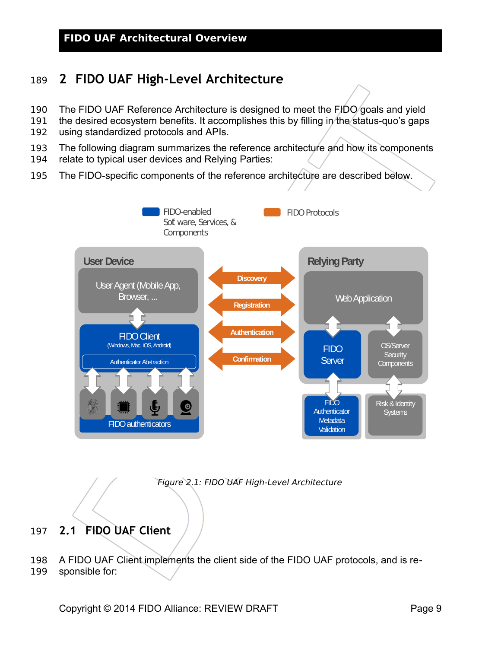# <span id="page-8-1"></span>**2 FIDO UAF High-Level Architecture** 189

- The FIDO UAF Reference Architecture is designed to meet the FIDO goals and yield 190
- the desired ecosystem benefits. It accomplishes this by filling in the status-quo's gaps using standardized protocols and APIs. 191 192
- 
- The following diagram summarizes the reference architecture and how its components 193
- relate to typical user devices and Relying Parties: 194
- The FIDO-specific components of the reference architecture are described below. 195



Figure 2.1: FIDO UAF High-Level Architecture

- <span id="page-8-0"></span>**2.1 FIDO UAF Client** 197
- A FIDO UAF Client implements the client side of the FIDO UAF protocols, and is responsible for: 198 199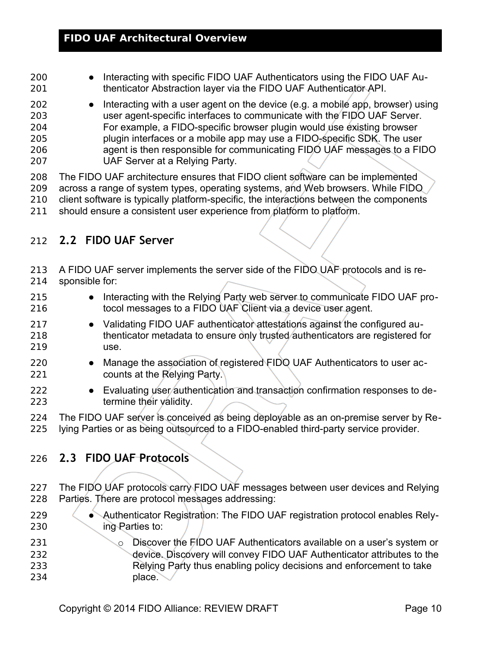- Interacting with specific FIDO UAF Authenticators using the FIDO UAF Authenticator Abstraction layer via the FIDO UAF Authenticator API. 200 201
- Interacting with a user agent on the device (e.g. a mobile app, browser) using user agent-specific interfaces to communicate with the FIDO UAF Server. For example, a FIDO-specific browser plugin would use existing browser plugin interfaces or a mobile app may use a FIDO-specific SDK. The user agent is then responsible for communicating FIDO UAF messages to a FIDO UAF Server at a Relying Party. 202 203 204 205 206 207

The FIDO UAF architecture ensures that FIDO client software can be implemented across a range of system types, operating systems, and Web browsers. While FIDO client software is typically platform-specific, the interactions between the components should ensure a consistent user experience from platform to platform. 208 209 210 211

### <span id="page-9-1"></span>**2.2 FIDO UAF Server** 212

A FIDO UAF server implements the server side of the FIDO UAF protocols and is responsible for: 213 214

- Interacting with the Relying Party web server to communicate FIDO UAF protocol messages to a FIDO UAF Client via a device user agent. 215 216
- Validating FIDO UAF authenticator attestations against the configured authenticator metadata to ensure only trusted authenticators are registered for use. 217 218 219
- Manage the association of registered FIDO UAF Authenticators to user accounts at the Relying Party. 220 221
- Evaluating user authentication and transaction confirmation responses to determine their validity. 222 223
- The FIDO UAF server is conceived as being deployable as an on-premise server by Re-224
- lying Parties or as being outsourced to a FIDO-enabled third-party service provider. 225

### <span id="page-9-0"></span>**2.3 FIDO UAF Protocols** 226

- The FIDO UAF protocols carry FIDO UAF messages between user devices and Relying Parties. There are protocol messages addressing: 227 228
- Authenticator Registration: The FIDO UAF registration protocol enables Relying Parties to: 229 230
- o Discover the FIDO UAF Authenticators available on a user's system or device. Discovery will convey FIDO UAF Authenticator attributes to the Relying Party thus enabling policy decisions and enforcement to take 231 232 233
- place. 234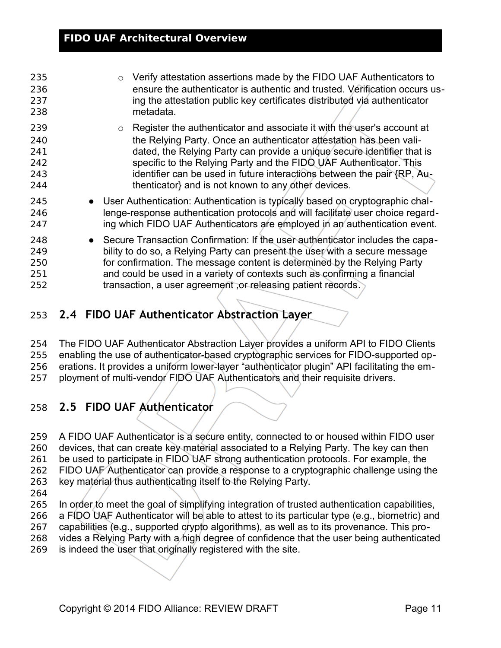| Verify attestation assertions made by the FIDO UAF Authenticators to<br>ensure the authenticator is authentic and trusted. Verification occurs us-<br>ing the attestation public key certificates distributed via authenticator<br>metadata.                                                                                                                                                                                                |
|---------------------------------------------------------------------------------------------------------------------------------------------------------------------------------------------------------------------------------------------------------------------------------------------------------------------------------------------------------------------------------------------------------------------------------------------|
| Register the authenticator and associate it with the user's account at<br>$\circ$<br>the Relying Party. Once an authenticator attestation has been vali-<br>dated, the Relying Party can provide a unique secure identifier that is<br>specific to the Relying Party and the FIDO UAF Authenticator. This<br>identifier can be used in future interactions between the pair {RP, Au-<br>thenticator} and is not known to any other devices. |
| • User Authentication: Authentication is typically based on cryptographic chal-<br>lenge-response authentication protocols and will facilitate user choice regard-<br>ing which FIDO UAF Authenticators are employed in an authentication event.                                                                                                                                                                                            |
| • Secure Transaction Confirmation: If the user authenticator includes the capa-<br>bility to do so, a Relying Party can present the user with a secure message<br>for confirmation. The message content is determined by the Relying Party<br>and could be used in a variety of contexts such as confirming a financial<br>transaction, a user agreement, or releasing patient records.                                                     |
|                                                                                                                                                                                                                                                                                                                                                                                                                                             |

<span id="page-10-1"></span>**2.4 FIDO UAF Authenticator Abstraction Layer** 253

The FIDO UAF Authenticator Abstraction Layer provides a uniform API to FIDO Clients enabling the use of authenticator-based cryptographic services for FIDO-supported operations. It provides a uniform lower-layer "authenticator plugin" API facilitating the employment of multi-vendor FIDO UAF Authenticators and their requisite drivers. 254 255 256 257

# <span id="page-10-0"></span>**2.5 FIDO UAF Authenticator**  258

A FIDO UAF Authenticator is a secure entity, connected to or housed within FIDO user devices, that can create key material associated to a Relying Party. The key can then be used to participate in FIDO UAF strong authentication protocols. For example, the FIDO UAF Authenticator can provide a response to a cryptographic challenge using the key material thus authenticating itself to the Relying Party. 259 260 261 262 263 264

- In order to meet the goal of simplifying integration of trusted authentication capabilities, a FIDO UAF Authenticator will be able to attest to its particular type (e.g., biometric) and 265 266
- capabilities (e.g., supported crypto algorithms), as well as to its provenance. This pro-267
- vides a Relying Party with a high degree of confidence that the user being authenticated 268
- is indeed the user that originally registered with the site. 269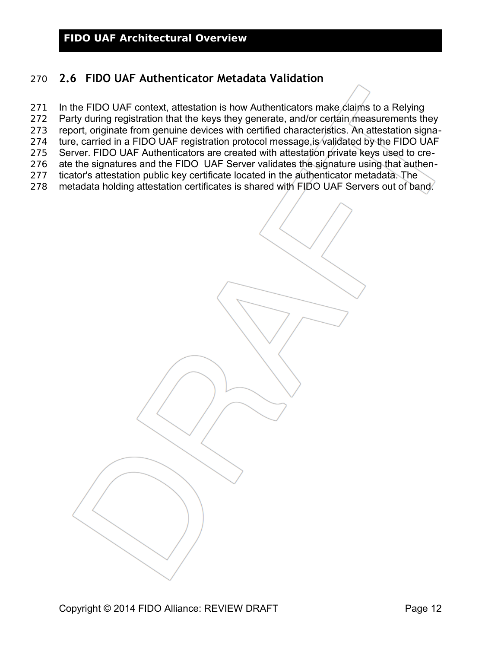### <span id="page-11-0"></span>**2.6 FIDO UAF Authenticator Metadata Validation** 270

- In the FIDO UAF context, attestation is how Authenticators make claims to a Relying 271
- Party during registration that the keys they generate, and/or certain measurements they 272
- report, originate from genuine devices with certified characteristics. An attestation signa-273
- ture, carried in a FIDO UAF registration protocol message,is validated by the FIDO UAF 274
- Server. FIDO UAF Authenticators are created with attestation private keys used to create the signatures and the FIDO UAF Server validates the signature using that authen-275 276
- ticator's attestation public key certificate located in the authenticator metadata. The 277
- metadata holding attestation certificates is shared with FIDO UAF Servers out of band. 278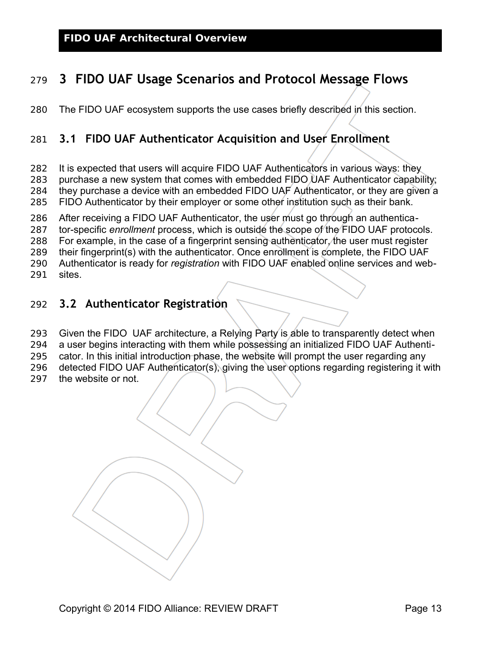# <span id="page-12-2"></span>**3 FIDO UAF Usage Scenarios and Protocol Message Flows** 279

The FIDO UAF ecosystem supports the use cases briefly described in this section. 280

## <span id="page-12-1"></span>**3.1 FIDO UAF Authenticator Acquisition and User Enrollment** 281

It is expected that users will acquire FIDO UAF Authenticators in various ways: they 282

purchase a new system that comes with embedded FIDO UAF Authenticator capability; 283

they purchase a device with an embedded FIDO UAF Authenticator, or they are given a FIDO Authenticator by their employer or some other institution such as their bank. 284 285

After receiving a FIDO UAF Authenticator, the user must go through an authentica-286

tor-specific *enrollment* process, which is outside the scope of the FIDO UAF protocols. 287

For example, in the case of a fingerprint sensing authenticator, the user must register 288

their fingerprint(s) with the authenticator. Once enrollment is complete, the FIDO UAF 289

Authenticator is ready for *registration* with FIDO UAF enabled online services and web-290

sites. 291

### <span id="page-12-0"></span>**3.2 Authenticator Registration** 292

Given the FIDO UAF architecture, a Relying Party is able to transparently detect when 293

a user begins interacting with them while possessing an initialized FIDO UAF Authenti-294

cator. In this initial introduction phase, the website will prompt the user regarding any 295

detected FIDO UAF Authenticator(s), giving the user options regarding registering it with 296

the website or not. 297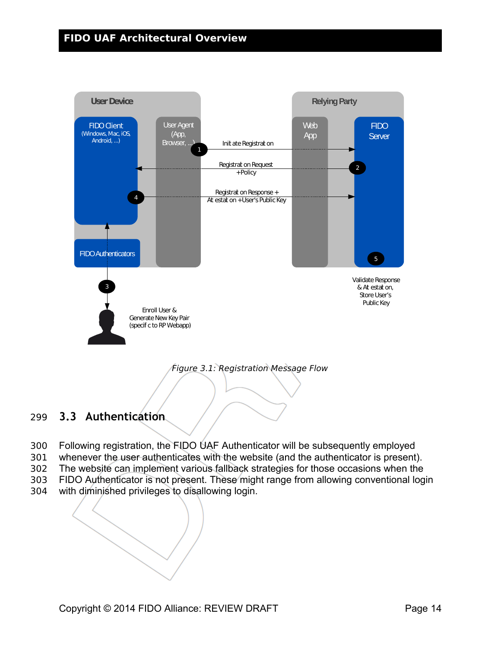

Figure 3.1: Registration Message Flow

### <span id="page-13-0"></span>**3.3 Authentication** 299

- Following registration, the FIDO UAF Authenticator will be subsequently employed 300
- whenever the user authenticates with the website (and the authenticator is present). 301
- The website can implement various fallback strategies for those occasions when the 302
- FIDO Authenticator is not present. These might range from allowing conventional login 303
- with diminished privileges to disallowing login. 304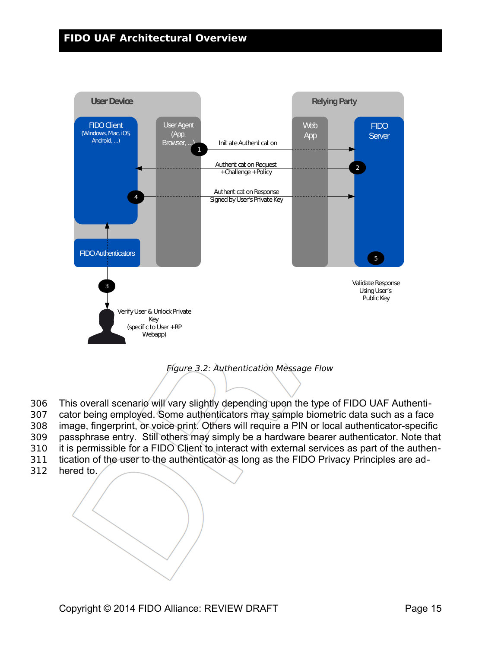

Figure 3.2: Authentication Message Flow

- This overall scenario will vary slightly depending upon the type of FIDO UAF Authenti-306
- cator being employed. Some authenticators may sample biometric data such as a face 307
- image, fingerprint, or voice print. Others will require a PIN or local authenticator-specific 308
- passphrase entry. Still others may simply be a hardware bearer authenticator. Note that 309
- it is permissible for a FIDO Client to interact with external services as part of the authen-310
- tication of the user to the authenticator as long as the FIDO Privacy Principles are ad-311
- hered to. 312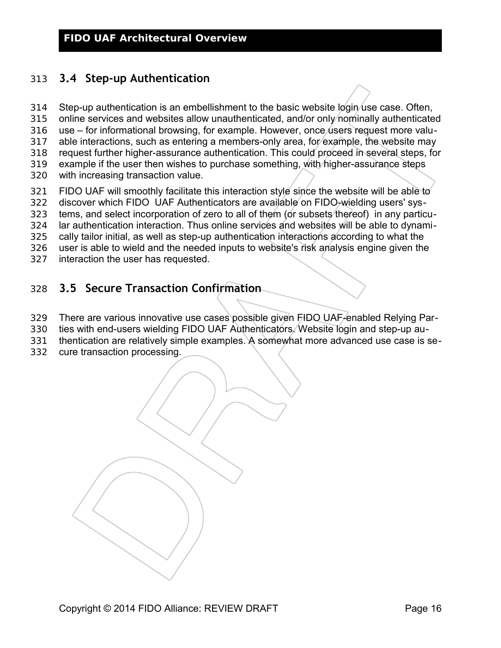### <span id="page-15-1"></span>**3.4 Step-up Authentication** 313

Step-up authentication is an embellishment to the basic website login use case. Often, online services and websites allow unauthenticated, and/or only nominally authenticated use – for informational browsing, for example. However, once users request more valuable interactions, such as entering a members-only area, for example, the website may request further higher-assurance authentication. This could proceed in several steps, for example if the user then wishes to purchase something, with higher-assurance steps with increasing transaction value. FIDO UAF will smoothly facilitate this interaction style since the website will be able to discover which FIDO UAF Authenticators are available on FIDO-wielding users' sys-314 315 316 317 318 319 320 321 322

tems, and select incorporation of zero to all of them (or subsets thereof) in any particu-323

lar authentication interaction. Thus online services and websites will be able to dynami-324

cally tailor initial, as well as step-up authentication interactions according to what the 325

user is able to wield and the needed inputs to website's risk analysis engine given the 326

interaction the user has requested. 327

### <span id="page-15-0"></span>**3.5 Secure Transaction Confirmation** 328

There are various innovative use cases possible given FIDO UAF-enabled Relying Par-329

- ties with end-users wielding FIDO UAF Authenticators. Website login and step-up au-330
- thentication are relatively simple examples. A somewhat more advanced use case is se-331
- cure transaction processing. 332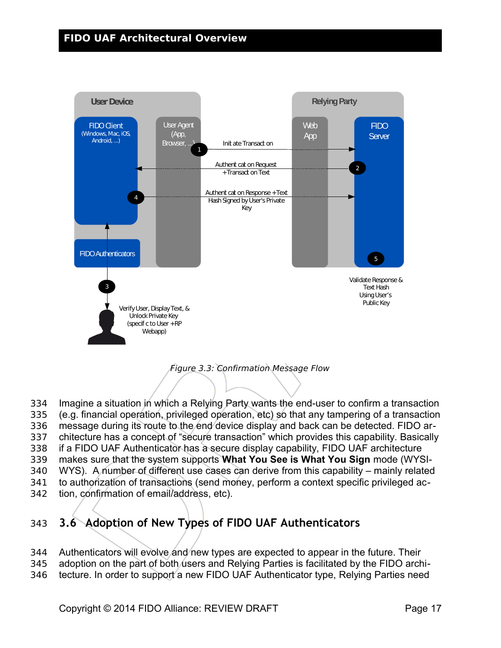

Figure 3.3: Confirmation Message Flow

- Imagine a situation in which a Relying Party wants the end-user to confirm a transaction 334
- (e.g. financial operation, privileged operation, etc) so that any tampering of a transaction 335
- message during its route to the end device display and back can be detected. FIDO ar-336
- chitecture has a concept of "secure transaction" which provides this capability. Basically 337
- if a FIDO UAF Authenticator has a secure display capability, FIDO UAF architecture 338
- makes sure that the system supports **What You See is What You Sign** mode (WYSI-339
- WYS). A number of different use cases can derive from this capability mainly related 340
- to authorization of transactions (send money, perform a context specific privileged ac-341
- tion, confirmation of email/address, etc). 342

# <span id="page-16-0"></span>**3.6 Adoption of New Types of FIDO UAF Authenticators** 343

- Authenticators will evolve and new types are expected to appear in the future. Their 344
- adoption on the part of both users and Relying Parties is facilitated by the FIDO archi-345
- tecture. In order to support a new FIDO UAF Authenticator type, Relying Parties need 346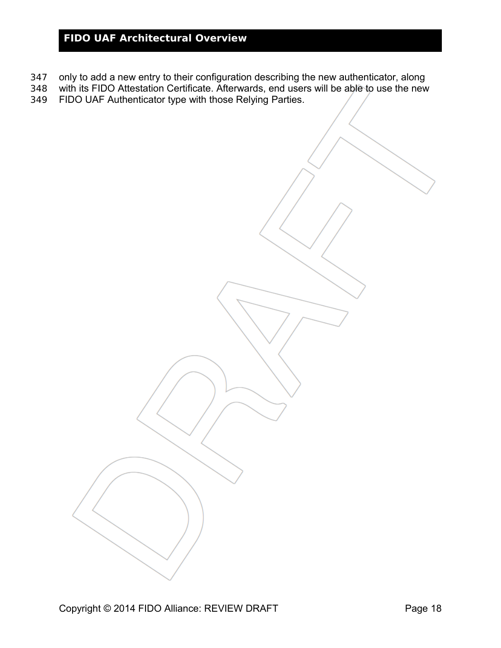- only to add a new entry to their configuration describing the new authenticator, along 347
- with its FIDO Attestation Certificate. Afterwards, end users will be able to use the new 348
- FIDO UAF Authenticator type with those Relying Parties. 349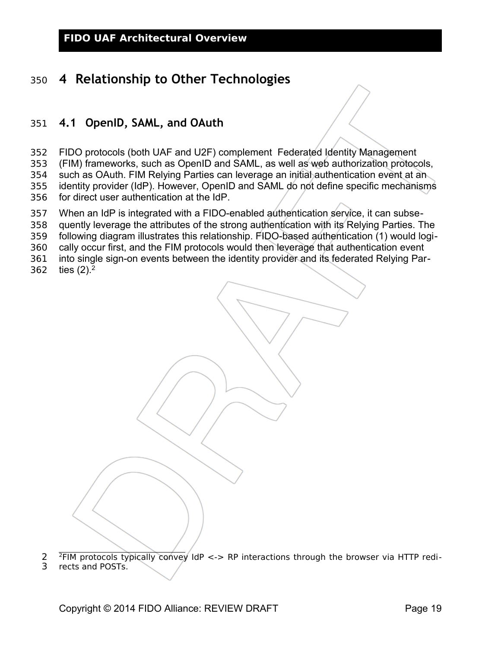# <span id="page-18-1"></span>**4 Relationship to Other Technologies** 350

### <span id="page-18-0"></span>**4.1 OpenID, SAML, and OAuth**  351

- FIDO protocols (both UAF and U2F) complement Federated Identity Management 352
- (FIM) frameworks, such as OpenID and SAML, as well as web authorization protocols, 353
- such as OAuth. FIM Relying Parties can leverage an initial authentication event at an 354
- identity provider (IdP). However, OpenID and SAML do not define specific mechanisms 355
- for direct user authentication at the IdP. 356
- When an IdP is integrated with a FIDO-enabled authentication service, it can subse-357
- quently leverage the attributes of the strong authentication with its Relying Parties. The 358
- following diagram illustrates this relationship. FIDO-based authentication (1) would logi-359
- cally occur first, and the FIM protocols would then leverage that authentication event 360
- into single sign-on events between the identity provider and its federated Relying Par-361
- ties  $(2).<sup>2</sup>$  $(2).<sup>2</sup>$  $(2).<sup>2</sup>$ 362

<span id="page-18-2"></span><sup>2</sup>FIM protocols typically convey IdP <-> RP interactions through the browser via HTTP redi-2

rects and POSTs. 3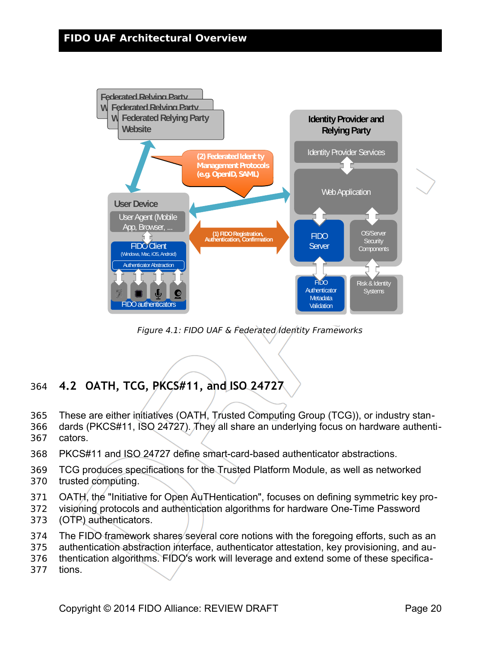

Figure 4.1: FIDO UAF & Federated Identity Frameworks

# <span id="page-19-0"></span>**4.2 OATH, TCG, PKCS#11, and ISO 24727** 364

- These are either initiatives (OATH, Trusted Computing Group (TCG)), or industry stan-365
- dards (PKCS#11, ISO 24727). They all share an underlying focus on hardware authenticators. 366 367
- PKCS#11 and ISO 24727 define smart-card-based authenticator abstractions. 368
- TCG produces specifications for the Trusted Platform Module, as well as networked 369
- trusted computing. 370
- OATH, the "Initiative for Open AuTHentication", focuses on defining symmetric key pro-371
- visioning protocols and authentication algorithms for hardware One-Time Password (OTP) authenticators. 372 373
- The FIDO framework shares several core notions with the foregoing efforts, such as an 374
- authentication abstraction interface, authenticator attestation, key provisioning, and au-375
- thentication algorithms. FIDO's work will leverage and extend some of these specifica-376
- tions. 377